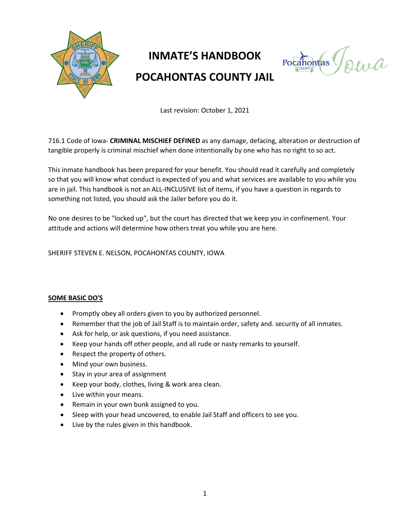

# **INMATE'S HANDBOOK POCAHONTAS COUNTY JAIL**

 $Pockonitas$ 

Last revision: October 1, 2021

716.1 Code of Iowa- **CRIMINAL MISCHIEF DEFINED** as any damage, defacing, alteration or destruction of tangible properly is criminal mischief when done intentionally by one who has no right to so act.

This inmate handbook has been prepared for your benefit. You should read it carefully and completely so that you will know what conduct is expected of you and what services are available to you while you are in jail. This handbook is not an ALL-INCLUSIVE list of items, if you have a question in regards to something not listed, you should ask the Jailer before you do it.

No one desires to be "locked up", but the court has directed that we keep you in confinement. Your attitude and actions will determine how others treat you while you are here.

#### SHERIFF STEVEN E. NELSON, POCAHONTAS COUNTY, IOWA

#### **SOME BASIC DO'S**

- Promptly obey all orders given to you by authorized personnel.
- Remember that the job of Jail Staff is to maintain order, safety and. security of all inmates.
- Ask for help, or ask questions, if you need assistance.
- Keep your hands off other people, and all rude or nasty remarks to yourself.
- Respect the property of others.
- Mind your own business.
- Stay in your area of assignment
- Keep your body, clothes, living & work area clean.
- Live within your means.
- Remain in your own bunk assigned to you.
- Sleep with your head uncovered, to enable Jail Staff and officers to see you.
- Live by the rules given in this handbook.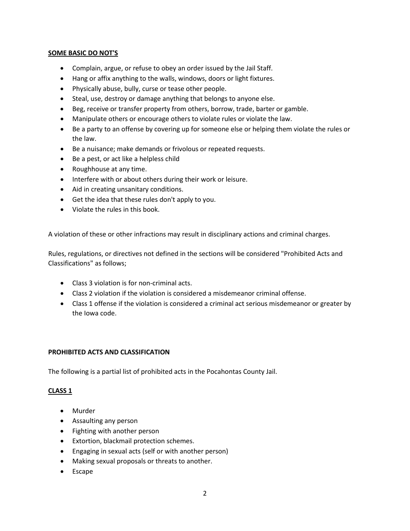#### **SOME BASIC DO NOT'S**

- Complain, argue, or refuse to obey an order issued by the Jail Staff.
- Hang or affix anything to the walls, windows, doors or light fixtures.
- Physically abuse, bully, curse or tease other people.
- Steal, use, destroy or damage anything that belongs to anyone else.
- Beg, receive or transfer property from others, borrow, trade, barter or gamble.
- Manipulate others or encourage others to violate rules or violate the law.
- Be a party to an offense by covering up for someone else or helping them violate the rules or the law.
- Be a nuisance; make demands or frivolous or repeated requests.
- Be a pest, or act like a helpless child
- Roughhouse at any time.
- Interfere with or about others during their work or leisure.
- Aid in creating unsanitary conditions.
- Get the idea that these rules don't apply to you.
- Violate the rules in this book.

A violation of these or other infractions may result in disciplinary actions and criminal charges.

Rules, regulations, or directives not defined in the sections will be considered "Prohibited Acts and Classifications" as follows;

- Class 3 violation is for non-criminal acts.
- Class 2 violation if the violation is considered a misdemeanor criminal offense.
- Class 1 offense if the violation is considered a criminal act serious misdemeanor or greater by the Iowa code.

#### **PROHIBITED ACTS AND CLASSIFICATION**

The following is a partial list of prohibited acts in the Pocahontas County Jail.

#### **CLASS 1**

- Murder
- Assaulting any person
- Fighting with another person
- Extortion, blackmail protection schemes.
- Engaging in sexual acts (self or with another person)
- Making sexual proposals or threats to another.
- Escape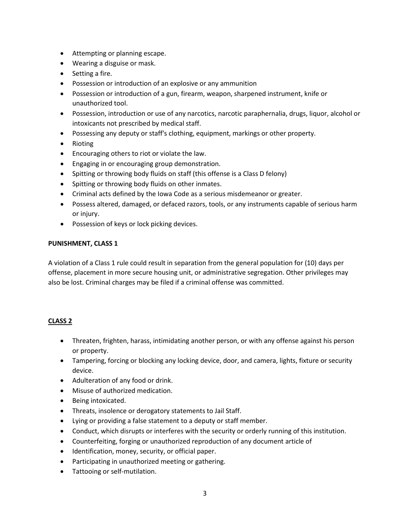- Attempting or planning escape.
- Wearing a disguise or mask.
- Setting a fire.
- Possession or introduction of an explosive or any ammunition
- Possession or introduction of a gun, firearm, weapon, sharpened instrument, knife or unauthorized tool.
- Possession, introduction or use of any narcotics, narcotic paraphernalia, drugs, liquor, alcohol or intoxicants not prescribed by medical staff.
- Possessing any deputy or staff's clothing, equipment, markings or other property.
- Rioting
- Encouraging others to riot or violate the law.
- Engaging in or encouraging group demonstration.
- Spitting or throwing body fluids on staff (this offense is a Class D felony)
- Spitting or throwing body fluids on other inmates.
- Criminal acts defined by the Iowa Code as a serious misdemeanor or greater.
- Possess altered, damaged, or defaced razors, tools, or any instruments capable of serious harm or injury.
- Possession of keys or lock picking devices.

## **PUNISHMENT, CLASS 1**

A violation of a Class 1 rule could result in separation from the general population for (10) days per offense, placement in more secure housing unit, or administrative segregation. Other privileges may also be lost. Criminal charges may be filed if a criminal offense was committed.

# **CLASS 2**

- Threaten, frighten, harass, intimidating another person, or with any offense against his person or property.
- Tampering, forcing or blocking any locking device, door, and camera, lights, fixture or security device.
- Adulteration of any food or drink.
- Misuse of authorized medication.
- Being intoxicated.
- Threats, insolence or derogatory statements to Jail Staff.
- Lying or providing a false statement to a deputy or staff member.
- Conduct, which disrupts or interferes with the security or orderly running of this institution.
- Counterfeiting, forging or unauthorized reproduction of any document article of
- Identification, money, security, or official paper.
- Participating in unauthorized meeting or gathering.
- Tattooing or self-mutilation.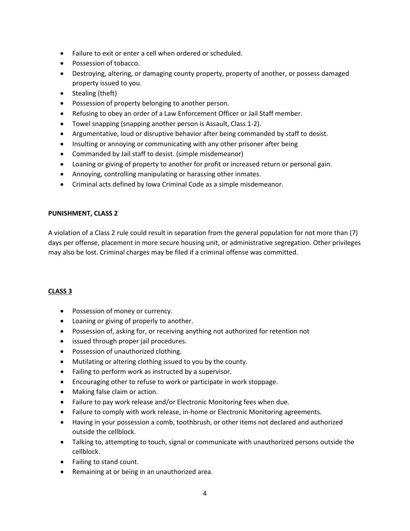- Failure to exit or enter a cell when ordered or scheduled.
- Possession of tobacco.
- Destroying, altering, or damaging county property, property of another, or possess damaged property issued to you.
- Stealing (theft)
- Possession of property belonging to another person.
- Refusing to obey an order of a Law Enforcement Officer or Jail Staff member.
- Towel snapping (snapping another person is Assault, Class 1-2).
- Argumentative, loud or disruptive behavior after being commanded by staff to desist.
- Insulting or annoying or communicating with any other prisoner after being
- Commanded by Jail staff to desist. (simple misdemeanor)
- Loaning or giving of property to another for profit or increased return or personal gain.
- Annoying, controlling manipulating or harassing other inmates.
- Criminal acts defined by Iowa Criminal Code as a simple misdemeanor.

## **PUNISHMENT, CLASS 2**

A violation of a Class 2 rule could result in separation from the general population for not more than (7) days per offense, placement in more secure housing unit, or administrative segregation. Other privileges may also be lost. Criminal charges may be filed if a criminal offense was committed.

# **CLASS 3**

- Possession of money or currency.
- Loaning or giving of properly to another.
- Possession of, asking for, or receiving anything not authorized for retention not
- issued through proper jail procedures.
- Possession of unauthorized clothing.
- Mutilating or altering clothing issued to you by the county.
- Failing to perform work as instructed by a supervisor.
- Encouraging other to refuse to work or participate in work stoppage.
- Making false claim or action.
- Failure to pay work release and/or Electronic Monitoring fees when due.
- Failure to comply with work release, in-home or Electronic Monitoring agreements.
- Having in your possession a comb, toothbrush, or other items not declared and authorized outside the cellblock.
- Talking to, attempting to touch, signal or communicate with unauthorized persons outside the cellblock.
- Failing to stand count.
- Remaining at or being in an unauthorized area.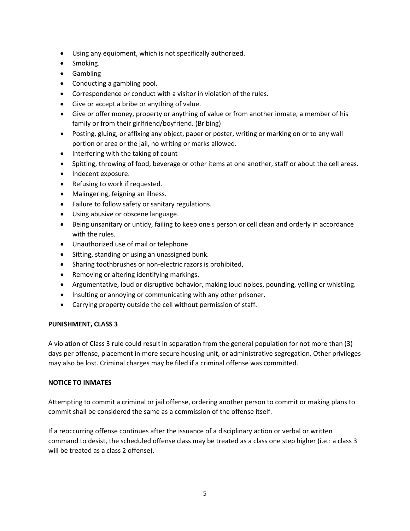- Using any equipment, which is not specifically authorized.
- Smoking.
- Gambling
- Conducting a gambling pool.
- Correspondence or conduct with a visitor in violation of the rules.
- Give or accept a bribe or anything of value.
- Give or offer money, property or anything of value or from another inmate, a member of his family or from their girlfriend/boyfriend. (Bribing)
- Posting, gluing, or affixing any object, paper or poster, writing or marking on or to any wall portion or area or the jail, no writing or marks allowed.
- Interfering with the taking of count
- Spitting, throwing of food, beverage or other items at one another, staff or about the cell areas.
- Indecent exposure.
- Refusing to work if requested.
- Malingering, feigning an illness.
- Failure to follow safety or sanitary regulations.
- Using abusive or obscene language.
- Being unsanitary or untidy, failing to keep one's person or cell clean and orderly in accordance with the rules.
- Unauthorized use of mail or telephone.
- Sitting, standing or using an unassigned bunk.
- Sharing toothbrushes or non-electric razors is prohibited,
- Removing or altering identifying markings.
- Argumentative, loud or disruptive behavior, making loud noises, pounding, yelling or whistling.
- Insulting or annoying or communicating with any other prisoner.
- Carrying property outside the cell without permission of staff.

#### **PUNISHMENT, CLASS 3**

A violation of Class 3 rule could result in separation from the general population for not more than (3) days per offense, placement in more secure housing unit, or administrative segregation. Other privileges may also be lost. Criminal charges may be filed if a criminal offense was committed.

#### **NOTICE TO INMATES**

Attempting to commit a criminal or jail offense, ordering another person to commit or making plans to commit shall be considered the same as a commission of the offense itself.

If a reoccurring offense continues after the issuance of a disciplinary action or verbal or written command to desist, the scheduled offense class may be treated as a class one step higher (i.e.: a class 3 will be treated as a class 2 offense).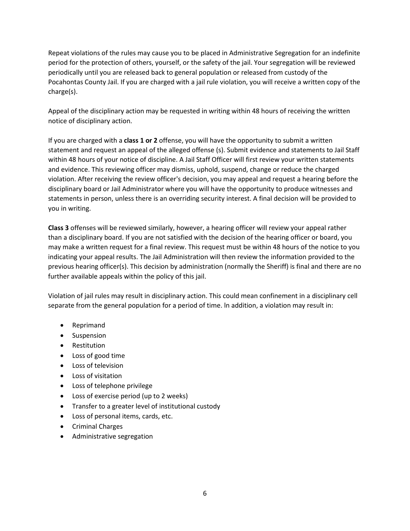Repeat violations of the rules may cause you to be placed in Administrative Segregation for an indefinite period for the protection of others, yourself, or the safety of the jail. Your segregation will be reviewed periodically until you are released back to general population or released from custody of the Pocahontas County Jail. If you are charged with a jail rule violation, you will receive a written copy of the charge(s).

Appeal of the disciplinary action may be requested in writing within 48 hours of receiving the written notice of disciplinary action.

If you are charged with a **class 1 or 2** offense, you will have the opportunity to submit a written statement and request an appeal of the alleged offense (s). Submit evidence and statements to Jail Staff within 48 hours of your notice of discipline. A Jail Staff Officer will first review your written statements and evidence. This reviewing officer may dismiss, uphold, suspend, change or reduce the charged violation. After receiving the review officer's decision, you may appeal and request a hearing before the disciplinary board or Jail Administrator where you will have the opportunity to produce witnesses and statements in person, unless there is an overriding security interest. A final decision will be provided to you in writing.

**Class 3** offenses will be reviewed similarly, however, a hearing officer will review your appeal rather than a disciplinary board. If you are not satisfied with the decision of the hearing officer or board, you may make a written request for a final review. This request must be within 48 hours of the notice to you indicating your appeal results. The Jail Administration will then review the information provided to the previous hearing officer(s). This decision by administration (normally the Sheriff) is final and there are no further available appeals within the policy of this jail.

Violation of jail rules may result in disciplinary action. This could mean confinement in a disciplinary cell separate from the general population for a period of time. ln addition, a violation may result in:

- Reprimand
- Suspension
- Restitution
- Loss of good time
- Loss of television
- Loss of visitation
- Loss of telephone privilege
- Loss of exercise period (up to 2 weeks)
- Transfer to a greater level of institutional custody
- Loss of personal items, cards, etc.
- Criminal Charges
- Administrative segregation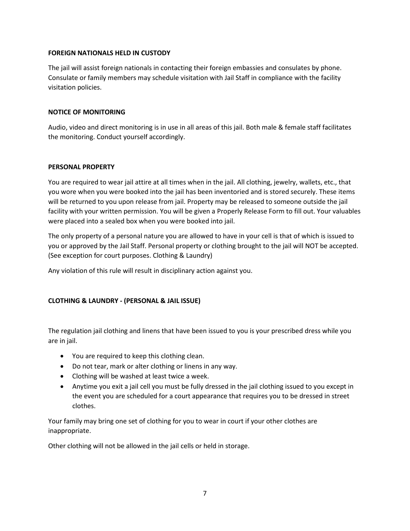## **FOREIGN NATIONALS HELD IN CUSTODY**

The jail will assist foreign nationals in contacting their foreign embassies and consulates by phone. Consulate or family members may schedule visitation with Jail Staff in compliance with the facility visitation policies.

### **NOTICE OF MONITORING**

Audio, video and direct monitoring is in use in all areas of this jail. Both male & female staff facilitates the monitoring. Conduct yourself accordingly.

#### **PERSONAL PROPERTY**

You are required to wear jail attire at all times when in the jail. All clothing, jewelry, wallets, etc., that you wore when you were booked into the jail has been inventoried and is stored securely. These items will be returned to you upon release from jail. Property may be released to someone outside the jail facility with your written permission. You will be given a Properly Release Form to fill out. Your valuables were placed into a sealed box when you were booked into jail.

The only property of a personal nature you are allowed to have in your cell is that of which is issued to you or approved by the Jail Staff. Personal property or clothing brought to the jail will NOT be accepted. (See exception for court purposes. Clothing & Laundry)

Any violation of this rule will result in disciplinary action against you.

# **CLOTHING & LAUNDRY - (PERSONAL & JAIL ISSUE)**

The regulation jail clothing and linens that have been issued to you is your prescribed dress while you are in jail.

- You are required to keep this clothing clean.
- Do not tear, mark or alter clothing or linens in any way.
- Clothing will be washed at least twice a week.
- Anytime you exit a jail cell you must be fully dressed in the jail clothing issued to you except in the event you are scheduled for a court appearance that requires you to be dressed in street clothes.

Your family may bring one set of clothing for you to wear in court if your other clothes are inappropriate.

Other clothing will not be allowed in the jail cells or held in storage.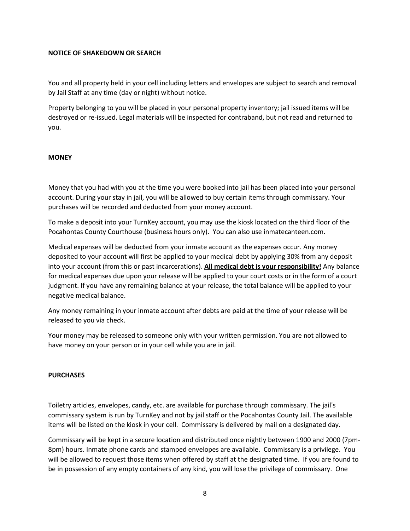#### **NOTICE OF SHAKEDOWN OR SEARCH**

You and all property held in your cell including letters and envelopes are subject to search and removal by Jail Staff at any time (day or night) without notice.

Property belonging to you will be placed in your personal property inventory; jail issued items will be destroyed or re-issued. Legal materials will be inspected for contraband, but not read and returned to you.

#### **MONEY**

Money that you had with you at the time you were booked into jail has been placed into your personal account. During your stay in jail, you will be allowed to buy certain items through commissary. Your purchases will be recorded and deducted from your money account.

To make a deposit into your TurnKey account, you may use the kiosk located on the third floor of the Pocahontas County Courthouse (business hours only). You can also use inmatecanteen.com.

Medical expenses will be deducted from your inmate account as the expenses occur. Any money deposited to your account will first be applied to your medical debt by applying 30% from any deposit into your account (from this or past incarcerations). **All medical debt is your responsibility!** Any balance for medical expenses due upon your release will be applied to your court costs or in the form of a court judgment. If you have any remaining balance at your release, the total balance will be applied to your negative medical balance.

Any money remaining in your inmate account after debts are paid at the time of your release will be released to you via check.

Your money may be released to someone only with your written permission. You are not allowed to have money on your person or in your cell while you are in jail.

#### **PURCHASES**

Toiletry articles, envelopes, candy, etc. are available for purchase through commissary. The jail's commissary system is run by TurnKey and not by jail staff or the Pocahontas County Jail. The available items will be listed on the kiosk in your cell. Commissary is delivered by mail on a designated day.

Commissary will be kept in a secure location and distributed once nightly between 1900 and 2000 (7pm-8pm) hours. Inmate phone cards and stamped envelopes are available. Commissary is a privilege. You will be allowed to request those items when offered by staff at the designated time. If you are found to be in possession of any empty containers of any kind, you will lose the privilege of commissary. One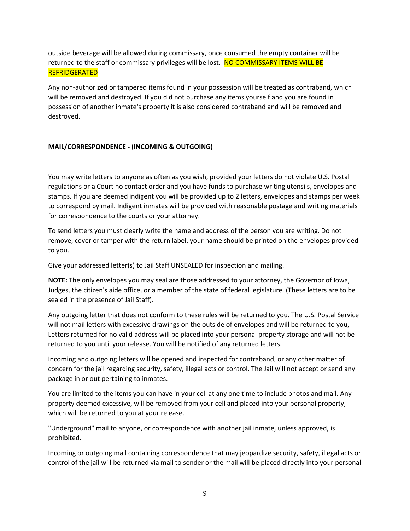outside beverage will be allowed during commissary, once consumed the empty container will be returned to the staff or commissary privileges will be lost. NO COMMISSARY ITEMS WILL BE **REFRIDGERATED** 

Any non-authorized or tampered items found in your possession will be treated as contraband, which will be removed and destroyed. If you did not purchase any items yourself and you are found in possession of another inmate's property it is also considered contraband and will be removed and destroyed.

# **MAIL/CORRESPONDENCE - (INCOMING & OUTGOING)**

You may write letters to anyone as often as you wish, provided your letters do not violate U.S. Postal regulations or a Court no contact order and you have funds to purchase writing utensils, envelopes and stamps. If you are deemed indigent you will be provided up to 2 letters, envelopes and stamps per week to correspond by mail. Indigent inmates will be provided with reasonable postage and writing materials for correspondence to the courts or your attorney.

To send letters you must clearly write the name and address of the person you are writing. Do not remove, cover or tamper with the return label, your name should be printed on the envelopes provided to you.

Give your addressed letter(s) to Jail Staff UNSEALED for inspection and mailing.

**NOTE:** The only envelopes you may seal are those addressed to your attorney, the Governor of Iowa, Judges, the citizen's aide office, or a member of the state of federal legislature. (These letters are to be sealed in the presence of Jail Staff).

Any outgoing letter that does not conform to these rules will be returned to you. The U.S. Postal Service will not mail letters with excessive drawings on the outside of envelopes and will be returned to you, Letters returned for no valid address will be placed into your personal property storage and will not be returned to you until your release. You will be notified of any returned letters.

Incoming and outgoing letters will be opened and inspected for contraband, or any other matter of concern for the jail regarding security, safety, illegal acts or control. The Jail will not accept or send any package in or out pertaining to inmates.

You are limited to the items you can have in your cell at any one time to include photos and mail. Any property deemed excessive, will be removed from your cell and placed into your personal property, which will be returned to you at your release.

"Underground" mail to anyone, or correspondence with another jail inmate, unless approved, is prohibited.

Incoming or outgoing mail containing correspondence that may jeopardize security, safety, illegal acts or control of the jail will be returned via mail to sender or the mail will be placed directly into your personal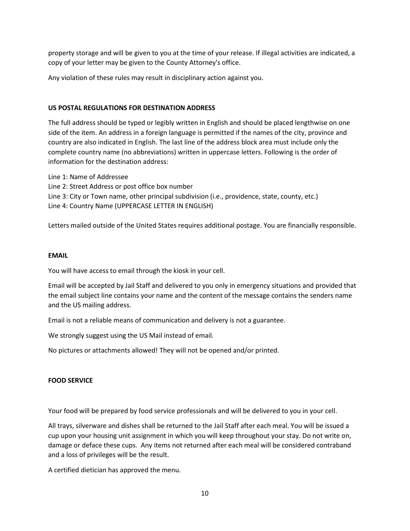property storage and will be given to you at the time of your release. If illegal activities are indicated, a copy of your letter may be given to the County Attorney's office.

Any violation of these rules may result in disciplinary action against you.

### **US POSTAL REGULATIONS FOR DESTINATION ADDRESS**

The full address should be typed or legibly written in English and should be placed lengthwise on one side of the item. An address in a foreign language is permitted if the names of the city, province and country are also indicated in English. The last line of the address block area must include only the complete country name (no abbreviations) written in uppercase letters. Following is the order of information for the destination address:

Line 1: Name of Addressee

- Line 2: Street Address or post office box number
- Line 3: City or Town name, other principal subdivision (i.e., providence, state, county, etc.)

Line 4: Country Name (UPPERCASE LETTER IN ENGLISH)

Letters mailed outside of the United States requires additional postage. You are financially responsible.

#### **EMAIL**

You will have access to email through the kiosk in your cell.

Email will be accepted by Jail Staff and delivered to you only in emergency situations and provided that the email subject line contains your name and the content of the message contains the senders name and the US mailing address.

Email is not a reliable means of communication and delivery is not a guarantee.

We strongly suggest using the US Mail instead of email.

No pictures or attachments allowed! They will not be opened and/or printed.

# **FOOD SERVICE**

Your food will be prepared by food service professionals and will be delivered to you in your cell.

All trays, silverware and dishes shall be returned to the Jail Staff after each meal. You will be issued a cup upon your housing unit assignment in which you will keep throughout your stay. Do not write on, damage or deface these cups. Any items not returned after each meal will be considered contraband and a loss of privileges will be the result.

A certified dietician has approved the menu.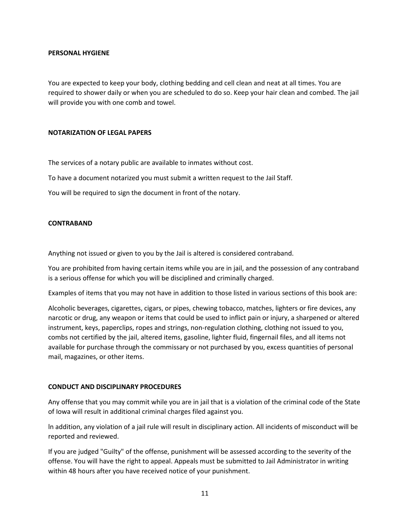#### **PERSONAL HYGIENE**

You are expected to keep your body, clothing bedding and cell clean and neat at all times. You are required to shower daily or when you are scheduled to do so. Keep your hair clean and combed. The jail will provide you with one comb and towel.

#### **NOTARIZATION OF LEGAL PAPERS**

The services of a notary public are available to inmates without cost.

To have a document notarized you must submit a written request to the Jail Staff.

You will be required to sign the document in front of the notary.

#### **CONTRABAND**

Anything not issued or given to you by the Jail is altered is considered contraband.

You are prohibited from having certain items while you are in jail, and the possession of any contraband is a serious offense for which you will be disciplined and criminally charged.

Examples of items that you may not have in addition to those listed in various sections of this book are:

Alcoholic beverages, cigarettes, cigars, or pipes, chewing tobacco, matches, lighters or fire devices, any narcotic or drug, any weapon or items that could be used to inflict pain or injury, a sharpened or altered instrument, keys, paperclips, ropes and strings, non-regulation clothing, clothing not issued to you, combs not certified by the jail, altered items, gasoline, lighter fluid, fingernail files, and all items not available for purchase through the commissary or not purchased by you, excess quantities of personal mail, magazines, or other items.

#### **CONDUCT AND DISCIPLINARY PROCEDURES**

Any offense that you may commit while you are in jail that is a violation of the criminal code of the State of Iowa will result in additional criminal charges filed against you.

ln addition, any violation of a jail rule will result in disciplinary action. All incidents of misconduct will be reported and reviewed.

If you are judged "Guilty" of the offense, punishment will be assessed according to the severity of the offense. You will have the right to appeal. Appeals must be submitted to Jail Administrator in writing within 48 hours after you have received notice of your punishment.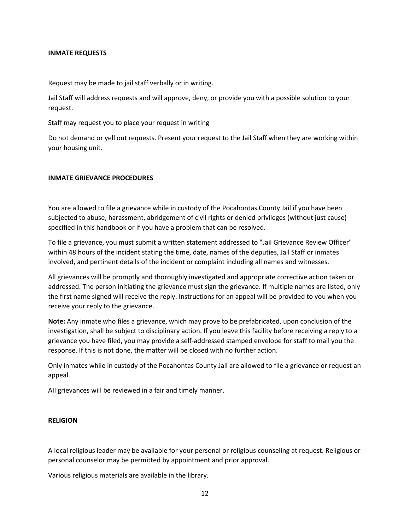#### **INMATE REQUESTS**

Request may be made to jail staff verbally or in writing.

Jail Staff will address requests and will approve, deny, or provide you with a possible solution to your request.

Staff may request you to place your request in writing

Do not demand or yell out requests. Present your request to the Jail Staff when they are working within your housing unit.

#### **INMATE GRIEVANCE PROCEDURES**

You are allowed to file a grievance while in custody of the Pocahontas County Jail if you have been subjected to abuse, harassment, abridgement of civil rights or denied privileges (without just cause) specified in this handbook or if you have a problem that can be resolved.

To file a grievance, you must submit a written statement addressed to "Jail Grievance Review Officer" within 48 hours of the incident stating the time, date, names of the deputies, Jail Staff or inmates involved, and pertinent details of the incident or complaint including all names and witnesses.

All grievances will be promptly and thoroughly investigated and appropriate corrective action taken or addressed. The person initiating the grievance must sign the grievance. If multiple names are listed, only the first name signed will receive the reply. Instructions for an appeal will be provided to you when you receive your reply to the grievance.

**Note:** Any inmate who files a grievance, which may prove to be prefabricated, upon conclusion of the investigation, shall be subject to disciplinary action. If you leave this facility before receiving a reply to a grievance you have filed, you may provide a self-addressed stamped envelope for staff to mail you the response. If this is not done, the matter will be closed with no further action.

Only inmates while in custody of the Pocahontas County Jail are allowed to file a grievance or request an appeal.

AII grievances will be reviewed in a fair and timely manner.

#### **RELIGION**

A local religious leader may be available for your personal or religious counseling at request. Religious or personal counselor may be permitted by appointment and prior approval.

Various religious materials are available in the library.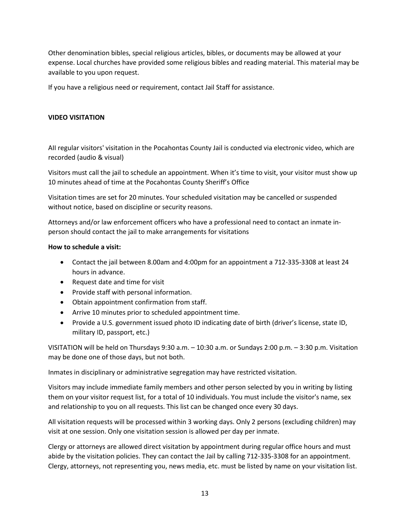Other denomination bibles, special religious articles, bibles, or documents may be allowed at your expense. Local churches have provided some religious bibles and reading material. This material may be available to you upon request.

If you have a religious need or requirement, contact Jail Staff for assistance.

# **VIDEO VISITATION**

AII regular visitors' visitation in the Pocahontas County Jail is conducted via electronic video, which are recorded (audio & visual)

Visitors must call the jail to schedule an appointment. When it's time to visit, your visitor must show up 10 minutes ahead of time at the Pocahontas County Sheriff's Office

Visitation times are set for 20 minutes. Your scheduled visitation may be cancelled or suspended without notice, based on discipline or security reasons.

Attorneys and/or law enforcement officers who have a professional need to contact an inmate inperson should contact the jail to make arrangements for visitations

#### **How to schedule a visit:**

- Contact the jail between 8.00am and 4:00pm for an appointment a 712-335-3308 at least 24 hours in advance.
- Request date and time for visit
- Provide staff with personal information.
- Obtain appointment confirmation from staff.
- Arrive 10 minutes prior to scheduled appointment time.
- Provide a U.S. government issued photo ID indicating date of birth (driver's license, state ID, military ID, passport, etc.)

VISITATION will be held on Thursdays 9:30 a.m. – 10:30 a.m. or Sundays 2:00 p.m. – 3:30 p.m. Visitation may be done one of those days, but not both.

Inmates in disciplinary or administrative segregation may have restricted visitation.

Visitors may include immediate family members and other person selected by you in writing by listing them on your visitor request list, for a total of 10 individuals. You must include the visitor's name, sex and relationship to you on all requests. This list can be changed once every 30 days.

All visitation requests will be processed within 3 working days. Only 2 persons (excluding children) may visit at one session. Only one visitation session is allowed per day per inmate.

Clergy or attorneys are allowed direct visitation by appointment during regular office hours and must abide by the visitation policies. They can contact the Jail by calling 712-335-3308 for an appointment. Clergy, attorneys, not representing you, news media, etc. must be listed by name on your visitation list.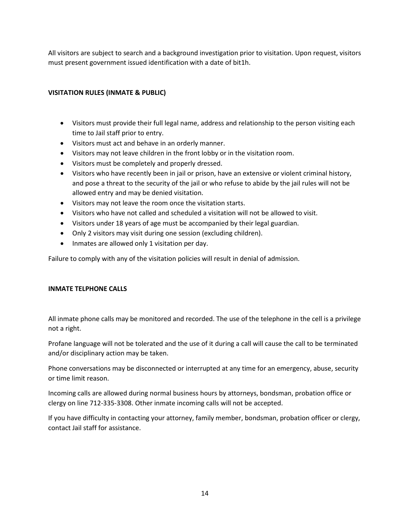All visitors are subject to search and a background investigation prior to visitation. Upon request, visitors must present government issued identification with a date of bit1h.

# **VISITATION RULES (INMATE & PUBLIC)**

- Visitors must provide their full legal name, address and relationship to the person visiting each time to Jail staff prior to entry.
- Visitors must act and behave in an orderly manner.
- Visitors may not leave children in the front lobby or in the visitation room.
- Visitors must be completely and properly dressed.
- Visitors who have recently been in jail or prison, have an extensive or violent criminal history, and pose a threat to the security of the jail or who refuse to abide by the jail rules will not be allowed entry and may be denied visitation.
- Visitors may not leave the room once the visitation starts.
- Visitors who have not called and scheduled a visitation will not be allowed to visit.
- Visitors under 18 years of age must be accompanied by their legal guardian.
- Only 2 visitors may visit during one session (excluding children).
- Inmates are allowed only 1 visitation per day.

Failure to comply with any of the visitation policies will result in denial of admission.

#### **INMATE TELPHONE CALLS**

All inmate phone calls may be monitored and recorded. The use of the telephone in the cell is a privilege not a right.

Profane language will not be tolerated and the use of it during a call will cause the call to be terminated and/or disciplinary action may be taken.

Phone conversations may be disconnected or interrupted at any time for an emergency, abuse, security or time limit reason.

Incoming calls are allowed during normal business hours by attorneys, bondsman, probation office or clergy on line 712-335-3308. Other inmate incoming calls will not be accepted.

If you have difficulty in contacting your attorney, family member, bondsman, probation officer or clergy, contact Jail staff for assistance.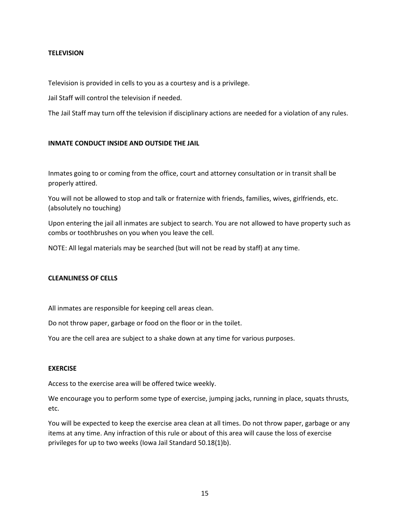## **TELEVISION**

Television is provided in cells to you as a courtesy and is a privilege.

Jail Staff will control the television if needed.

The Jail Staff may turn off the television if disciplinary actions are needed for a violation of any rules.

#### **INMATE CONDUCT INSIDE AND OUTSIDE THE JAIL**

Inmates going to or coming from the office, court and attorney consultation or in transit shall be properly attired.

You will not be allowed to stop and talk or fraternize with friends, families, wives, girlfriends, etc. (absolutely no touching)

Upon entering the jail all inmates are subject to search. You are not allowed to have property such as combs or toothbrushes on you when you leave the cell.

NOTE: All legal materials may be searched (but will not be read by staff) at any time.

#### **CLEANLINESS OF CELLS**

All inmates are responsible for keeping cell areas clean.

Do not throw paper, garbage or food on the floor or in the toilet.

You are the cell area are subject to a shake down at any time for various purposes.

#### **EXERCISE**

Access to the exercise area will be offered twice weekly.

We encourage you to perform some type of exercise, jumping jacks, running in place, squats thrusts, etc.

You will be expected to keep the exercise area clean at all times. Do not throw paper, garbage or any items at any time. Any infraction of this rule or about of this area will cause the loss of exercise privileges for up to two weeks (Iowa Jail Standard 50.18(1)b).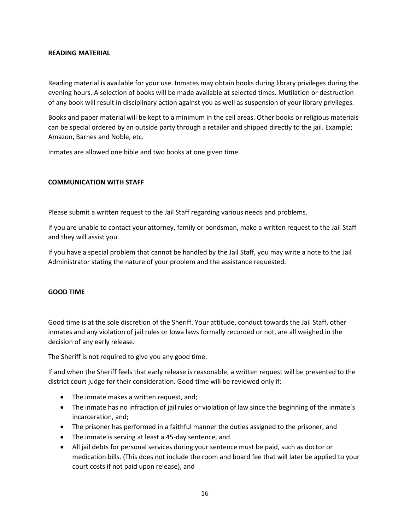#### **READING MATERIAL**

Reading material is available for your use. Inmates may obtain books during library privileges during the evening hours. A selection of books will be made available at selected times. Mutilation or destruction of any book will result in disciplinary action against you as well as suspension of your library privileges.

Books and paper material will be kept to a minimum in the cell areas. Other books or religious materials can be special ordered by an outside party through a retailer and shipped directly to the jail. Example; Amazon, Barnes and Noble, etc.

Inmates are allowed one bible and two books at one given time.

#### **COMMUNICATION WITH STAFF**

Please submit a written request to the Jail Staff regarding various needs and problems.

If you are unable to contact your attorney, family or bondsman, make a written request to the Jail Staff and they will assist you.

If you have a special problem that cannot be handled by the Jail Staff, you may write a note to the Jail Administrator stating the nature of your problem and the assistance requested.

#### **GOOD TIME**

Good time is at the sole discretion of the Sheriff. Your attitude, conduct towards the Jail Staff, other inmates and any violation of jail rules or Iowa laws formally recorded or not, are all weighed in the decision of any early release.

The Sheriff is not required to give you any good time.

If and when the Sheriff feels that early release is reasonable, a written request will be presented to the district court judge for their consideration. Good time will be reviewed only if:

- The inmate makes a written request, and;
- The inmate has no infraction of jail rules or violation of law since the beginning of the inmate's incarceration, and;
- The prisoner has performed in a faithful manner the duties assigned to the prisoner, and
- The inmate is serving at least a 45-day sentence, and
- All jail debts for personal services during your sentence must be paid, such as doctor or medication bills. (This does not include the room and board fee that will later be applied to your court costs if not paid upon release), and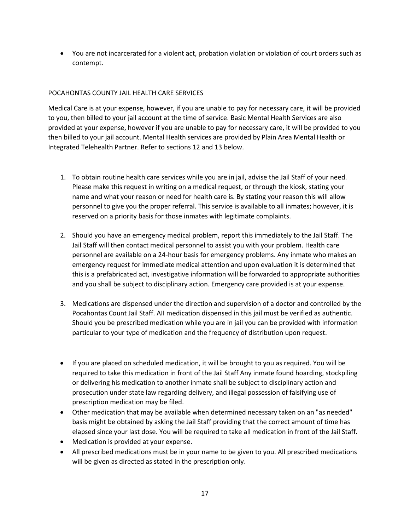• You are not incarcerated for a violent act, probation violation or violation of court orders such as contempt.

# POCAHONTAS COUNTY JAIL HEALTH CARE SERVICES

Medical Care is at your expense, however, if you are unable to pay for necessary care, it will be provided to you, then billed to your jail account at the time of service. Basic Mental Health Services are also provided at your expense, however if you are unable to pay for necessary care, it will be provided to you then billed to your jail account. Mental Health services are provided by Plain Area Mental Health or Integrated Telehealth Partner. Refer to sections 12 and 13 below.

- 1. To obtain routine health care services while you are in jail, advise the Jail Staff of your need. Please make this request in writing on a medical request, or through the kiosk, stating your name and what your reason or need for health care is. By stating your reason this will allow personnel to give you the proper referral. This service is available to all inmates; however, it is reserved on a priority basis for those inmates with legitimate complaints.
- 2. Should you have an emergency medical problem, report this immediately to the Jail Staff. The Jail Staff will then contact medical personnel to assist you with your problem. Health care personnel are available on a 24-hour basis for emergency problems. Any inmate who makes an emergency request for immediate medical attention and upon evaluation it is determined that this is a prefabricated act, investigative information will be forwarded to appropriate authorities and you shall be subject to disciplinary action. Emergency care provided is at your expense.
- 3. Medications are dispensed under the direction and supervision of a doctor and controlled by the Pocahontas Count Jail Staff. AII medication dispensed in this jail must be verified as authentic. Should you be prescribed medication while you are in jail you can be provided with information particular to your type of medication and the frequency of distribution upon request.
- If you are placed on scheduled medication, it will be brought to you as required. You will be required to take this medication in front of the Jail Staff Any inmate found hoarding, stockpiling or delivering his medication to another inmate shall be subject to disciplinary action and prosecution under state law regarding delivery, and illegal possession of falsifying use of prescription medication may be filed.
- Other medication that may be available when determined necessary taken on an "as needed" basis might be obtained by asking the Jail Staff providing that the correct amount of time has elapsed since your last dose. You will be required to take all medication in front of the Jail Staff.
- Medication is provided at your expense.
- All prescribed medications must be in your name to be given to you. All prescribed medications will be given as directed as stated in the prescription only.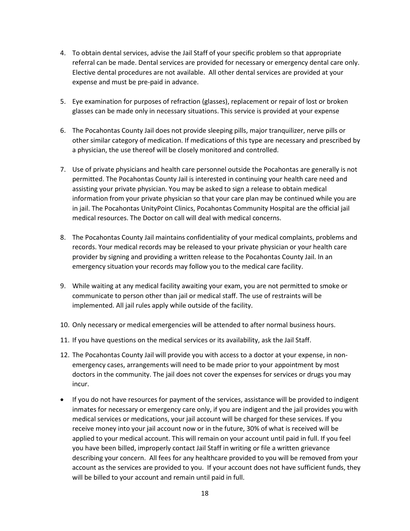- 4. To obtain dental services, advise the Jail Staff of your specific problem so that appropriate referral can be made. Dental services are provided for necessary or emergency dental care only. Elective dental procedures are not available. All other dental services are provided at your expense and must be pre-paid in advance.
- 5. Eye examination for purposes of refraction (glasses), replacement or repair of lost or broken glasses can be made only in necessary situations. This service is provided at your expense
- 6. The Pocahontas County Jail does not provide sleeping pills, major tranquilizer, nerve pills or other similar category of medication. If medications of this type are necessary and prescribed by a physician, the use thereof will be closely monitored and controlled.
- 7. Use of private physicians and health care personnel outside the Pocahontas are generally is not permitted. The Pocahontas County Jail is interested in continuing your health care need and assisting your private physician. You may be asked to sign a release to obtain medical information from your private physician so that your care plan may be continued while you are in jail. The Pocahontas UnityPoint Clinics, Pocahontas Community Hospital are the official jail medical resources. The Doctor on call will deal with medical concerns.
- 8. The Pocahontas County Jail maintains confidentiality of your medical complaints, problems and records. Your medical records may be released to your private physician or your health care provider by signing and providing a written release to the Pocahontas County Jail. In an emergency situation your records may follow you to the medical care facility.
- 9. While waiting at any medical facility awaiting your exam, you are not permitted to smoke or communicate to person other than jail or medical staff. The use of restraints will be implemented. All jail rules apply while outside of the facility.
- 10. Only necessary or medical emergencies will be attended to after normal business hours.
- 11. If you have questions on the medical services or its availability, ask the Jail Staff.
- 12. The Pocahontas County Jail will provide you with access to a doctor at your expense, in nonemergency cases, arrangements will need to be made prior to your appointment by most doctors in the community. The jail does not cover the expenses for services or drugs you may incur.
- If you do not have resources for payment of the services, assistance will be provided to indigent inmates for necessary or emergency care only, if you are indigent and the jail provides you with medical services or medications, your jail account will be charged for these services. If you receive money into your jail account now or in the future, 30% of what is received will be applied to your medical account. This will remain on your account until paid in full. If you feel you have been billed, improperly contact Jail Staff in writing or file a written grievance describing your concern. All fees for any healthcare provided to you will be removed from your account as the services are provided to you. If your account does not have sufficient funds, they will be billed to your account and remain until paid in full.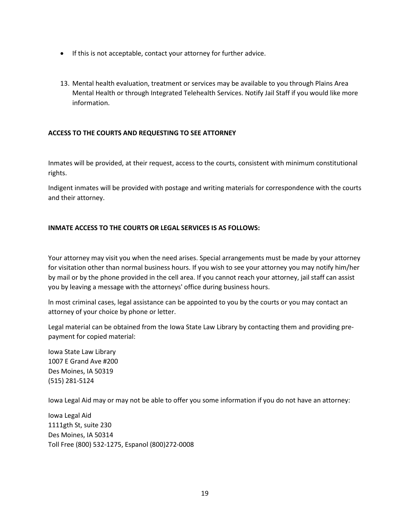- If this is not acceptable, contact your attorney for further advice.
- 13. Mental health evaluation, treatment or services may be available to you through Plains Area Mental Health or through Integrated Telehealth Services. Notify Jail Staff if you would like more information.

#### **ACCESS TO THE COURTS AND REQUESTING TO SEE ATTORNEY**

Inmates will be provided, at their request, access to the courts, consistent with minimum constitutional rights.

Indigent inmates will be provided with postage and writing materials for correspondence with the courts and their attorney.

## **INMATE ACCESS TO THE COURTS OR LEGAL SERVICES IS AS FOLLOWS:**

Your attorney may visit you when the need arises. Special arrangements must be made by your attorney for visitation other than normal business hours. If you wish to see your attorney you may notify him/her by mail or by the phone provided in the cell area. If you cannot reach your attorney, jail staff can assist you by leaving a message with the attorneys' office during business hours.

ln most criminal cases, legal assistance can be appointed to you by the courts or you may contact an attorney of your choice by phone or letter.

Legal material can be obtained from the Iowa State Law Library by contacting them and providing prepayment for copied material:

Iowa State Law Library 1007 E Grand Ave #200 Des Moines, IA 50319 (515) 281-5124

Iowa Legal Aid may or may not be able to offer you some information if you do not have an attorney:

Iowa Legal Aid 1111gth St, suite 230 Des Moines, IA 50314 Toll Free (800) 532-1275, Espanol (800)272-0008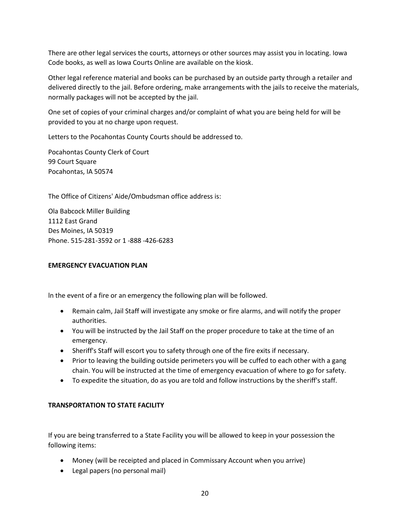There are other legal services the courts, attorneys or other sources may assist you in locating. Iowa Code books, as well as Iowa Courts Online are available on the kiosk.

Other legal reference material and books can be purchased by an outside party through a retailer and delivered directly to the jail. Before ordering, make arrangements with the jails to receive the materials, normally packages will not be accepted by the jail.

One set of copies of your criminal charges and/or complaint of what you are being held for will be provided to you at no charge upon request.

Letters to the Pocahontas County Courts should be addressed to.

Pocahontas County Clerk of Court 99 Court Square Pocahontas, IA 50574

The Office of Citizens' Aide/Ombudsman office address is:

Ola Babcock Miller Building 1112 East Grand Des Moines, IA 50319 Phone. 515-281-3592 or 1 -888 -426-6283

## **EMERGENCY EVACUATION PLAN**

ln the event of a fire or an emergency the following plan will be followed.

- Remain calm, Jail Staff will investigate any smoke or fire alarms, and will notify the proper authorities.
- You will be instructed by the Jail Staff on the proper procedure to take at the time of an emergency.
- Sheriff's Staff will escort you to safety through one of the fire exits if necessary.
- Prior to leaving the building outside perimeters you will be cuffed to each other with a gang chain. You will be instructed at the time of emergency evacuation of where to go for safety.
- To expedite the situation, do as you are told and follow instructions by the sheriff's staff.

# **TRANSPORTATION TO STATE FACILITY**

If you are being transferred to a State Facility you will be allowed to keep in your possession the following items:

- Money (will be receipted and placed in Commissary Account when you arrive)
- Legal papers (no personal mail)